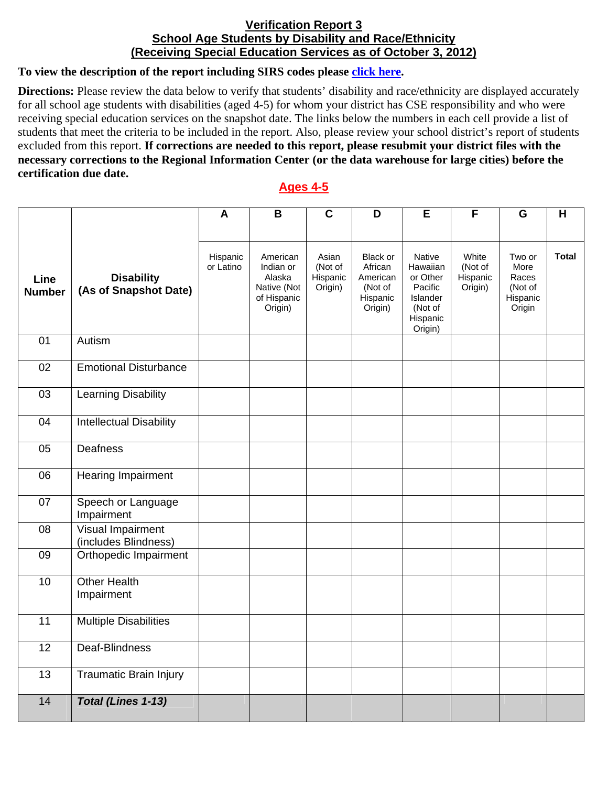## **Verification Report 3 School Age Students by Disability and Race/Ethnicity (Receiving Special Education Services as of October 3, 2012)**

## **To view the description of the report including SIRS codes please click here.**

**Directions:** Please review the data below to verify that students' disability and race/ethnicity are displayed accurately for all school age students with disabilities (aged 4-5) for whom your district has CSE responsibility and who were receiving special education services on the snapshot date. The links below the numbers in each cell provide a list of students that meet the criteria to be included in the report. Also, please review your school district's report of students excluded from this report. **If corrections are needed to this report, please resubmit your district files with the necessary corrections to the Regional Information Center (or the data warehouse for large cities) before the certification due date.**

## **Ages 4-5**

|                       |                                            | A                     | B                                                                        | $\overline{\mathsf{c}}$                 | D                                                                 | $\overline{E}$                                                                          | $\overline{F}$                          | G                                                        | H            |
|-----------------------|--------------------------------------------|-----------------------|--------------------------------------------------------------------------|-----------------------------------------|-------------------------------------------------------------------|-----------------------------------------------------------------------------------------|-----------------------------------------|----------------------------------------------------------|--------------|
|                       |                                            |                       |                                                                          |                                         |                                                                   |                                                                                         |                                         |                                                          |              |
| Line<br><b>Number</b> | <b>Disability</b><br>(As of Snapshot Date) | Hispanic<br>or Latino | American<br>Indian or<br>Alaska<br>Native (Not<br>of Hispanic<br>Origin) | Asian<br>(Not of<br>Hispanic<br>Origin) | Black or<br>African<br>American<br>(Not of<br>Hispanic<br>Origin) | Native<br>Hawaiian<br>or Other<br>Pacific<br>Islander<br>(Not of<br>Hispanic<br>Origin) | White<br>(Not of<br>Hispanic<br>Origin) | Two or<br>More<br>Races<br>(Not of<br>Hispanic<br>Origin | <b>Total</b> |
| 01                    | Autism                                     |                       |                                                                          |                                         |                                                                   |                                                                                         |                                         |                                                          |              |
| 02                    | <b>Emotional Disturbance</b>               |                       |                                                                          |                                         |                                                                   |                                                                                         |                                         |                                                          |              |
| 03                    | <b>Learning Disability</b>                 |                       |                                                                          |                                         |                                                                   |                                                                                         |                                         |                                                          |              |
| 04                    | <b>Intellectual Disability</b>             |                       |                                                                          |                                         |                                                                   |                                                                                         |                                         |                                                          |              |
| 05                    | Deafness                                   |                       |                                                                          |                                         |                                                                   |                                                                                         |                                         |                                                          |              |
| 06                    | Hearing Impairment                         |                       |                                                                          |                                         |                                                                   |                                                                                         |                                         |                                                          |              |
| 07                    | Speech or Language<br>Impairment           |                       |                                                                          |                                         |                                                                   |                                                                                         |                                         |                                                          |              |
| 08                    | Visual Impairment<br>(includes Blindness)  |                       |                                                                          |                                         |                                                                   |                                                                                         |                                         |                                                          |              |
| 09                    | Orthopedic Impairment                      |                       |                                                                          |                                         |                                                                   |                                                                                         |                                         |                                                          |              |
| 10                    | <b>Other Health</b><br>Impairment          |                       |                                                                          |                                         |                                                                   |                                                                                         |                                         |                                                          |              |
| $\overline{11}$       | <b>Multiple Disabilities</b>               |                       |                                                                          |                                         |                                                                   |                                                                                         |                                         |                                                          |              |
| $\overline{12}$       | Deaf-Blindness                             |                       |                                                                          |                                         |                                                                   |                                                                                         |                                         |                                                          |              |
| $\overline{13}$       | <b>Traumatic Brain Injury</b>              |                       |                                                                          |                                         |                                                                   |                                                                                         |                                         |                                                          |              |
| 14                    | Total (Lines 1-13)                         |                       |                                                                          |                                         |                                                                   |                                                                                         |                                         |                                                          |              |